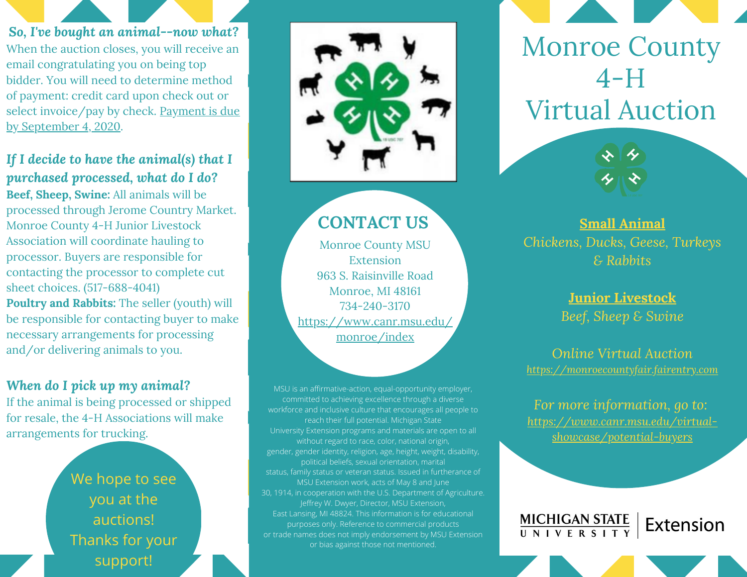*So, I've bought an animal--now what?* When the auction closes, you will receive an email congratulating you on being top bidder. You will need to determine method of payment: credit card upon check out or select invoice/pay by check. Payment is due by September 4, 2020.

*If I decide to have the animal(s) that I purchased processed, what do I do?* **Beef, Sheep, Swine:** All animals will be processed through Jerome Country Market. Monroe County 4-H Junior Livestock Association will coordinate hauling to processor. Buyers are responsible for contacting the processor to complete cut sheet choices. (517-688-4041) **Poultry and Rabbits:** The seller (youth) will be responsible for contacting buyer to make necessary arrangements for processing and/or delivering animals to you.

#### *When do I pick up my animal?*

If the animal is being processed or shipped for resale, the 4-H Associations will make arrangements for trucking.

> We hope to see you at the auctions! Thanks for your support!



# Monroe County  $4-H$ Virtual Auction

**Small Animal** *Chickens, Ducks, Geese, Turkeys & Rabbits*

> **Junior Livestock** *Beef, Sheep & Swine*

*Online Virtual Auction [https://monroecountyfair.fairentry.com](https://monroecountyfair.fairentry.com/Fair/SignIn/14787)*

*For more information, go to: [https://www.canr.msu.edu/virtual](https://www.canr.msu.edu/virtual-showcase/potential-buyers)showcase/potential-buyers*

Extension

MICHIGAN STATE<br>UNIVERSITY

# **CONTACT US**

Monroe County MSU Extension 963 S. Raisinville Road Monroe, MI 48161 734-240-3170 [https://www.canr.msu.edu/](https://www.canr.msu.edu/monroe/index) monroe/index

MSU is an affirmative-action, equal-opportunity employer, committed to achieving excellence through a diverse workforce and inclusive culture that encourages all people to reach their full potential. Michigan State University Extension programs and materials are open to all without regard to race, color, national origin, gender, gender identity, religion, age, height, weight, disability, political beliefs, sexual orientation, marital status, family status or veteran status. Issued in furtherance of MSU Extension work, acts of May 8 and June 30, 1914, in cooperation with the U.S. Department of Agriculture. Jeffrey W. Dwyer, Director, MSU Extension, East Lansing, MI 48824. This information is for educational purposes only. Reference to commercial products or trade names does not imply endorsement by MSU Extension or bias against those not mentioned.